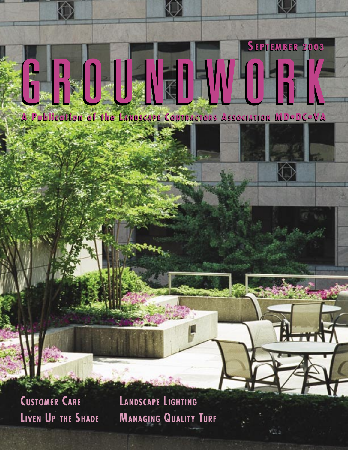

Landscape Contractors Association MD • DC • VA SE P T E M B E R 2 0 0 3 G R O U N D W O R K **1**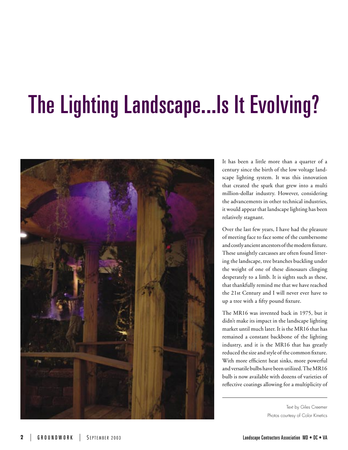## The Lighting Landscape...Is It Evolving?

![](_page_1_Picture_1.jpeg)

It has been a little more than a quarter of a century since the birth of the low voltage landscape lighting system. It was this innovation that created the spark that grew into a multi million-dollar industry. However, considering the advancements in other technical industries, it would appear that landscape lighting has been relatively stagnant.

Over the last few years, I have had the pleasure of meeting face to face some of the cumbersome and costly ancient ancestors of the modern fixture. These unsightly carcasses are often found littering the landscape, tree branches buckling under the weight of one of these dinosaurs clinging desperately to a limb. It is sights such as these, that thankfully remind me that we have reached the 21st Century and I will never ever have to up a tree with a fifty pound fixture.

The MR16 was invented back in 1975, but it didn't make its impact in the landscape lighting market until much later. It is the MR16 that has remained a constant backbone of the lighting industry, and it is the MR16 that has greatly reduced the size and style of the common fixture. With more efficient heat sinks, more powerful and versatile bulbs have been utilized. The MR16 bulb is now available with dozens of varieties of reflective coatings allowing for a multiplicity of

> Text by Giles Creemer Photos courtesy of Color Kinetics